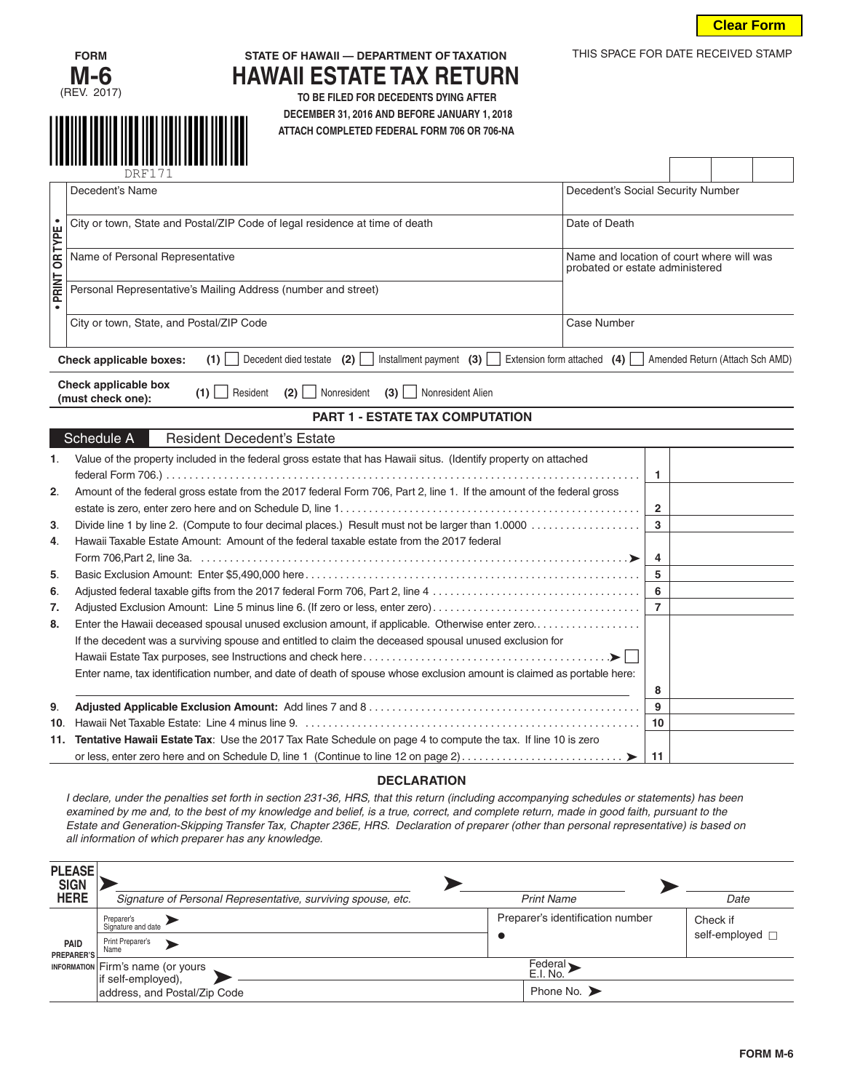

THIS SPACE FOR DATE RECEIVED STAMP



## **FORM STATE OF HAWAII — DEPARTMENT OF TAXATION HAWAII ESTATE TAX RETURN TO BE FILED FOR DECEDENTS DYING AFTER**

**ECEMBER 31, 2016 AND BEFORE JANUARY 1, 2018**<br>ATTACH COMPLETED FEDERAL FORM 706 OR 706-NA  **ATTACH COMPLETED FEDERAL FORM 706 OR 706-NA**

|               |                                         | <b>DRF171</b>                                                                                                                                                                                                                                                                                                                                                                                                                                                                                                     |                   |                                                                              |                |  |                      |                 |  |
|---------------|-----------------------------------------|-------------------------------------------------------------------------------------------------------------------------------------------------------------------------------------------------------------------------------------------------------------------------------------------------------------------------------------------------------------------------------------------------------------------------------------------------------------------------------------------------------------------|-------------------|------------------------------------------------------------------------------|----------------|--|----------------------|-----------------|--|
|               |                                         | Decedent's Name                                                                                                                                                                                                                                                                                                                                                                                                                                                                                                   |                   | Decedent's Social Security Number                                            |                |  |                      |                 |  |
|               |                                         | City or town, State and Postal/ZIP Code of legal residence at time of death<br>Date of Death                                                                                                                                                                                                                                                                                                                                                                                                                      |                   |                                                                              |                |  |                      |                 |  |
| PRINT OR TYPE |                                         | Name of Personal Representative                                                                                                                                                                                                                                                                                                                                                                                                                                                                                   |                   | Name and location of court where will was<br>probated or estate administered |                |  |                      |                 |  |
| $\bullet$     |                                         | Personal Representative's Mailing Address (number and street)                                                                                                                                                                                                                                                                                                                                                                                                                                                     |                   |                                                                              |                |  |                      |                 |  |
|               |                                         | City or town, State, and Postal/ZIP Code                                                                                                                                                                                                                                                                                                                                                                                                                                                                          |                   | Case Number                                                                  |                |  |                      |                 |  |
|               |                                         | Decedent died testate (2)<br>Installment payment $(3)$<br>Check applicable boxes:<br>$(1)$                                                                                                                                                                                                                                                                                                                                                                                                                        |                   | Extension form attached $(4)$   Amended Return (Attach Sch AMD)              |                |  |                      |                 |  |
|               |                                         | Check applicable box<br>Resident<br>$(1)$    <br>(2)<br>Nonresident<br>(3)<br>Nonresident Alien<br>(must check one):                                                                                                                                                                                                                                                                                                                                                                                              |                   |                                                                              |                |  |                      |                 |  |
|               |                                         | <b>PART 1 - ESTATE TAX COMPUTATION</b>                                                                                                                                                                                                                                                                                                                                                                                                                                                                            |                   |                                                                              |                |  |                      |                 |  |
|               |                                         | Schedule A<br><b>Resident Decedent's Estate</b>                                                                                                                                                                                                                                                                                                                                                                                                                                                                   |                   |                                                                              |                |  |                      |                 |  |
| 1.            |                                         | Value of the property included in the federal gross estate that has Hawaii situs. (Identify property on attached                                                                                                                                                                                                                                                                                                                                                                                                  |                   |                                                                              | 1              |  |                      |                 |  |
| 2.            |                                         | Amount of the federal gross estate from the 2017 federal Form 706, Part 2, line 1. If the amount of the federal gross                                                                                                                                                                                                                                                                                                                                                                                             |                   |                                                                              |                |  |                      |                 |  |
|               |                                         |                                                                                                                                                                                                                                                                                                                                                                                                                                                                                                                   |                   |                                                                              | $\mathbf{2}$   |  |                      |                 |  |
| 3.            |                                         |                                                                                                                                                                                                                                                                                                                                                                                                                                                                                                                   |                   |                                                                              | 3              |  |                      |                 |  |
| 4.            |                                         | Hawaii Taxable Estate Amount: Amount of the federal taxable estate from the 2017 federal                                                                                                                                                                                                                                                                                                                                                                                                                          |                   |                                                                              | 4              |  |                      |                 |  |
| 5.            |                                         |                                                                                                                                                                                                                                                                                                                                                                                                                                                                                                                   |                   |                                                                              | 5              |  |                      |                 |  |
| 6.            |                                         |                                                                                                                                                                                                                                                                                                                                                                                                                                                                                                                   |                   |                                                                              | 6              |  |                      |                 |  |
| 7.            |                                         | Adjusted Exclusion Amount: Line 5 minus line 6. (If zero or less, enter zero)                                                                                                                                                                                                                                                                                                                                                                                                                                     |                   |                                                                              | $\overline{7}$ |  |                      |                 |  |
| 8.            |                                         | Enter the Hawaii deceased spousal unused exclusion amount, if applicable. Otherwise enter zero                                                                                                                                                                                                                                                                                                                                                                                                                    |                   |                                                                              |                |  |                      |                 |  |
|               |                                         | If the decedent was a surviving spouse and entitled to claim the deceased spousal unused exclusion for                                                                                                                                                                                                                                                                                                                                                                                                            |                   |                                                                              |                |  |                      |                 |  |
|               |                                         |                                                                                                                                                                                                                                                                                                                                                                                                                                                                                                                   |                   |                                                                              |                |  |                      |                 |  |
|               |                                         | Enter name, tax identification number, and date of death of spouse whose exclusion amount is claimed as portable here:                                                                                                                                                                                                                                                                                                                                                                                            |                   |                                                                              | 8              |  |                      |                 |  |
| 9.            |                                         |                                                                                                                                                                                                                                                                                                                                                                                                                                                                                                                   |                   |                                                                              | 9              |  |                      |                 |  |
| 10.           |                                         |                                                                                                                                                                                                                                                                                                                                                                                                                                                                                                                   |                   |                                                                              | 10             |  |                      |                 |  |
|               |                                         | 11. Tentative Hawaii Estate Tax: Use the 2017 Tax Rate Schedule on page 4 to compute the tax. If line 10 is zero                                                                                                                                                                                                                                                                                                                                                                                                  |                   |                                                                              |                |  |                      |                 |  |
|               |                                         |                                                                                                                                                                                                                                                                                                                                                                                                                                                                                                                   |                   |                                                                              | 11             |  |                      |                 |  |
|               |                                         | <b>DECLARATION</b><br>I declare, under the penalties set forth in section 231-36, HRS, that this return (including accompanying schedules or statements) has been<br>examined by me and, to the best of my knowledge and belief, is a true, correct, and complete return, made in good faith, pursuant to the<br>Estate and Generation-Skipping Transfer Tax, Chapter 236E, HRS. Declaration of preparer (other than personal representative) is based on<br>all information of which preparer has any knowledge. |                   |                                                                              |                |  |                      |                 |  |
|               | <b>PLEASE</b>                           |                                                                                                                                                                                                                                                                                                                                                                                                                                                                                                                   |                   |                                                                              |                |  |                      |                 |  |
|               | <b>SIGN</b><br><b>HERE</b>              | Signature of Personal Representative, surviving spouse, etc.                                                                                                                                                                                                                                                                                                                                                                                                                                                      | <b>Print Name</b> |                                                                              |                |  | Date                 |                 |  |
|               |                                         | Preparer's                                                                                                                                                                                                                                                                                                                                                                                                                                                                                                        |                   | Preparer's identification number                                             |                |  | Check if             |                 |  |
|               | <b>PAID</b>                             | Signature and date<br>Print Preparer's<br>Name                                                                                                                                                                                                                                                                                                                                                                                                                                                                    |                   |                                                                              |                |  | self-employed $\Box$ |                 |  |
|               | <b>PREPARER'S</b><br><b>INFORMATION</b> | Federal ><br>E.I. No.<br>Firm's name (or yours                                                                                                                                                                                                                                                                                                                                                                                                                                                                    |                   |                                                                              |                |  |                      |                 |  |
|               |                                         | if self-employed),<br>address, and Postal/Zip Code                                                                                                                                                                                                                                                                                                                                                                                                                                                                |                   | Phone No. $\blacktriangleright$                                              |                |  |                      |                 |  |
|               |                                         |                                                                                                                                                                                                                                                                                                                                                                                                                                                                                                                   |                   |                                                                              |                |  |                      |                 |  |
|               |                                         |                                                                                                                                                                                                                                                                                                                                                                                                                                                                                                                   |                   |                                                                              |                |  |                      |                 |  |
|               |                                         |                                                                                                                                                                                                                                                                                                                                                                                                                                                                                                                   |                   |                                                                              |                |  |                      | <b>FORM M-6</b> |  |

## **DECLARATION**

| <b>PLEASE</b><br><b>SIGN</b> |                                                                |                                  |                      |
|------------------------------|----------------------------------------------------------------|----------------------------------|----------------------|
| <b>HERE</b>                  | Signature of Personal Representative, surviving spouse, etc.   | <b>Print Name</b>                | Date                 |
|                              | Preparer's<br>Signature and date                               | Preparer's identification number | Check if             |
| PAID<br>PREPARER'S           | Print Preparer's<br>Name                                       |                                  | self-employed $\Box$ |
|                              | <b>INFORMATION</b> Firm's name (or yours<br>if self-employed), |                                  |                      |
|                              | address, and Postal/Zip Code                                   | Phone No. $\blacktriangleright$  |                      |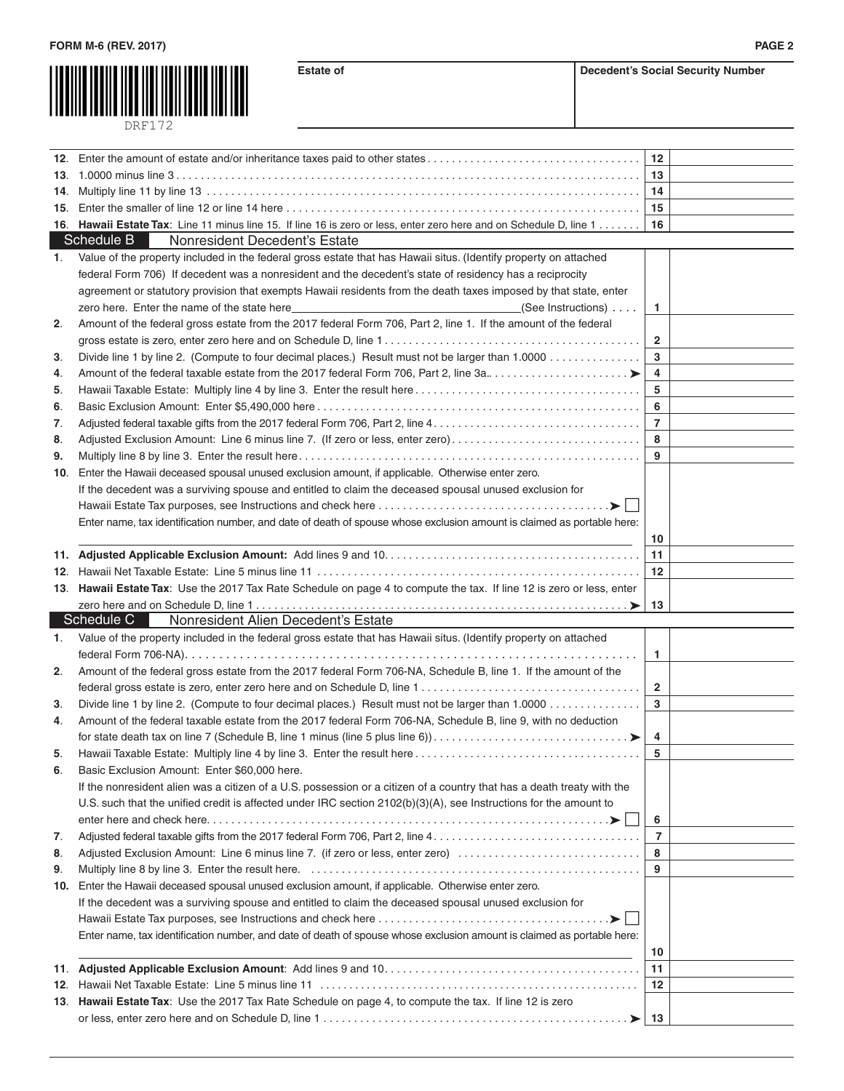

**Estate of Decedent's Social Security Number** 

|     |                                                                                                                                                                                                                               | 12             |  |
|-----|-------------------------------------------------------------------------------------------------------------------------------------------------------------------------------------------------------------------------------|----------------|--|
| 13. |                                                                                                                                                                                                                               | 13             |  |
| 14. |                                                                                                                                                                                                                               | 14             |  |
| 15. |                                                                                                                                                                                                                               | 15             |  |
|     | 16. Hawaii Estate Tax: Line 11 minus line 15. If line 16 is zero or less, enter zero here and on Schedule D, line 1                                                                                                           | 16             |  |
|     | Schedule B<br>Nonresident Decedent's Estate                                                                                                                                                                                   |                |  |
| 1.  | Value of the property included in the federal gross estate that has Hawaii situs. (Identify property on attached                                                                                                              |                |  |
|     | federal Form 706) If decedent was a nonresident and the decedent's state of residency has a reciprocity                                                                                                                       |                |  |
|     | agreement or statutory provision that exempts Hawaii residents from the death taxes imposed by that state, enter                                                                                                              |                |  |
|     | zero here. Enter the name of the state here<br>(See Instructions)                                                                                                                                                             | 1.             |  |
| 2.  | Amount of the federal gross estate from the 2017 federal Form 706, Part 2, line 1. If the amount of the federal                                                                                                               |                |  |
|     |                                                                                                                                                                                                                               | $\overline{2}$ |  |
| 3.  | Divide line 1 by line 2. (Compute to four decimal places.) Result must not be larger than 1.0000                                                                                                                              | 3              |  |
| 4.  | Amount of the federal taxable estate from the 2017 federal Form 706, Part 2, line 3a                                                                                                                                          | 4              |  |
| 5.  |                                                                                                                                                                                                                               | 5              |  |
| 6.  |                                                                                                                                                                                                                               | 6              |  |
| 7.  |                                                                                                                                                                                                                               | $\overline{7}$ |  |
| 8.  | Adjusted Exclusion Amount: Line 6 minus line 7. (If zero or less, enter zero)                                                                                                                                                 | 8              |  |
| 9.  |                                                                                                                                                                                                                               | 9              |  |
| 10. | Enter the Hawaii deceased spousal unused exclusion amount, if applicable. Otherwise enter zero.                                                                                                                               |                |  |
|     | If the decedent was a surviving spouse and entitled to claim the deceased spousal unused exclusion for                                                                                                                        |                |  |
|     |                                                                                                                                                                                                                               |                |  |
|     | Enter name, tax identification number, and date of death of spouse whose exclusion amount is claimed as portable here:                                                                                                        |                |  |
|     |                                                                                                                                                                                                                               | 10             |  |
|     |                                                                                                                                                                                                                               | 11             |  |
|     |                                                                                                                                                                                                                               | 12             |  |
|     | 13. Hawaii Estate Tax: Use the 2017 Tax Rate Schedule on page 4 to compute the tax. If line 12 is zero or less, enter                                                                                                         |                |  |
|     | Schedule C<br>Nonresident Alien Decedent's Estate                                                                                                                                                                             | 13             |  |
| 1.  | Value of the property included in the federal gross estate that has Hawaii situs. (Identify property on attached                                                                                                              |                |  |
|     |                                                                                                                                                                                                                               | $\mathbf{1}$   |  |
| 2.  | Amount of the federal gross estate from the 2017 federal Form 706-NA, Schedule B, line 1. If the amount of the                                                                                                                |                |  |
|     |                                                                                                                                                                                                                               | $\overline{2}$ |  |
| 3.  | Divide line 1 by line 2. (Compute to four decimal places.) Result must not be larger than 1.0000                                                                                                                              | 3              |  |
| 4.  | Amount of the federal taxable estate from the 2017 federal Form 706-NA, Schedule B, line 9, with no deduction                                                                                                                 |                |  |
|     |                                                                                                                                                                                                                               | 4              |  |
| 5.  |                                                                                                                                                                                                                               | 5              |  |
| 6.  | Basic Exclusion Amount: Enter \$60,000 here.                                                                                                                                                                                  |                |  |
|     | If the nonresident alien was a citizen of a U.S. possession or a citizen of a country that has a death treaty with the                                                                                                        |                |  |
|     | U.S. such that the unified credit is affected under IRC section 2102(b)(3)(A), see Instructions for the amount to                                                                                                             |                |  |
|     |                                                                                                                                                                                                                               | 6              |  |
| 7.  |                                                                                                                                                                                                                               | $\overline{7}$ |  |
| 8.  | Adjusted Exclusion Amount: Line 6 minus line 7. (if zero or less, enter zero)                                                                                                                                                 | 8              |  |
| 9.  |                                                                                                                                                                                                                               |                |  |
|     |                                                                                                                                                                                                                               | 9              |  |
| 10. | Enter the Hawaii deceased spousal unused exclusion amount, if applicable. Otherwise enter zero.                                                                                                                               |                |  |
|     | If the decedent was a surviving spouse and entitled to claim the deceased spousal unused exclusion for                                                                                                                        |                |  |
|     |                                                                                                                                                                                                                               |                |  |
|     | Enter name, tax identification number, and date of death of spouse whose exclusion amount is claimed as portable here:                                                                                                        |                |  |
|     | the control of the control of the control of the control of the control of the control of the control of the control of the control of the control of the control of the control of the control of the control of the control | 10             |  |
| 11. |                                                                                                                                                                                                                               | 11             |  |
| 12. |                                                                                                                                                                                                                               | 12             |  |
|     | 13. Hawaii Estate Tax: Use the 2017 Tax Rate Schedule on page 4, to compute the tax. If line 12 is zero                                                                                                                       | ∣ 13           |  |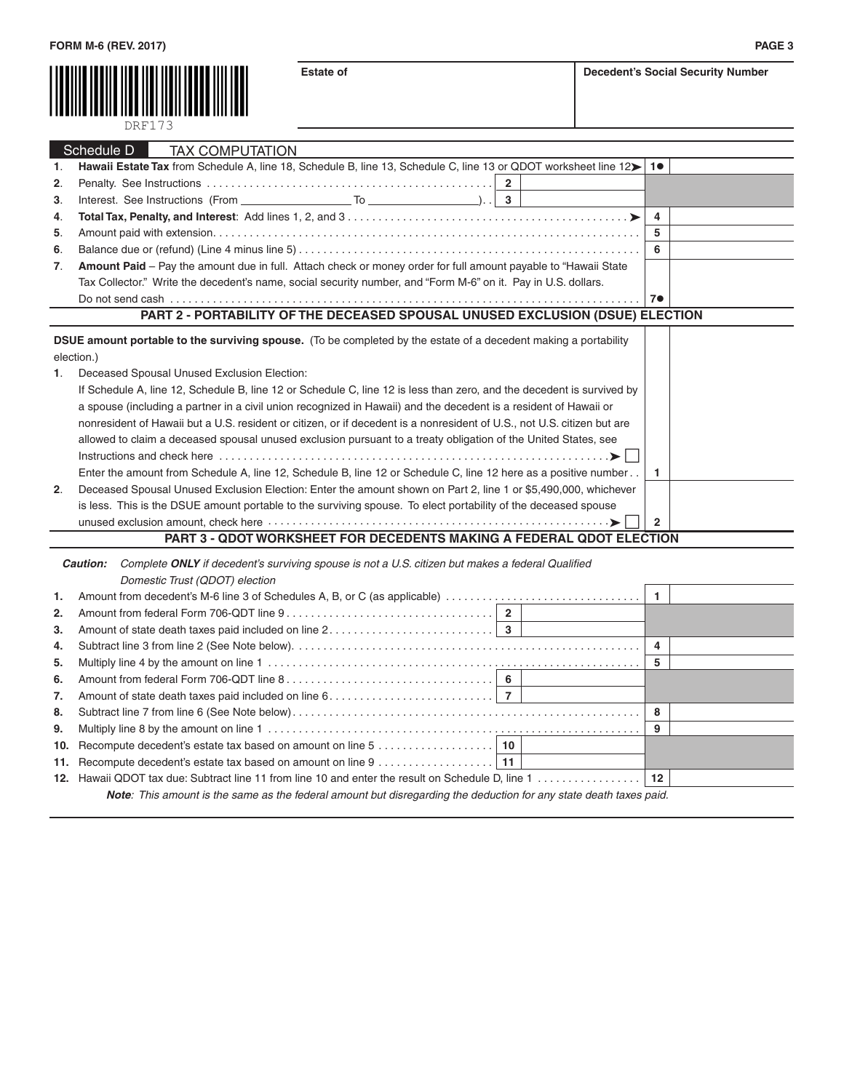

|    | ר ו דער                                                                                                                 |                |  |
|----|-------------------------------------------------------------------------------------------------------------------------|----------------|--|
|    |                                                                                                                         |                |  |
|    | Schedule <sub>D</sub><br><b>TAX COMPUTATION</b>                                                                         |                |  |
| 1. | Hawaii Estate Tax from Schedule A, line 18, Schedule B, line 13, Schedule C, line 13 or QDOT worksheet line 12>         | 1 <sub>•</sub> |  |
| 2. |                                                                                                                         |                |  |
| 3. | Interest. See Instructions (From $\qquad \qquad$ To $\qquad \qquad$ ). $\qquad$ 3                                       |                |  |
| 4. |                                                                                                                         | 4              |  |
| 5. |                                                                                                                         | 5              |  |
| 6. |                                                                                                                         | 6              |  |
| 7. | Amount Paid – Pay the amount due in full. Attach check or money order for full amount payable to "Hawaii State          |                |  |
|    | Tax Collector." Write the decedent's name, social security number, and "Form M-6" on it. Pay in U.S. dollars.           |                |  |
|    |                                                                                                                         | 7 <sub>•</sub> |  |
|    | PART 2 - PORTABILITY OF THE DECEASED SPOUSAL UNUSED EXCLUSION (DSUE) ELECTION                                           |                |  |
|    | <b>DSUE amount portable to the surviving spouse.</b> (To be completed by the estate of a decedent making a portability  |                |  |
|    | election.)                                                                                                              |                |  |
| 1. | Deceased Spousal Unused Exclusion Election:                                                                             |                |  |
|    | If Schedule A, line 12, Schedule B, line 12 or Schedule C, line 12 is less than zero, and the decedent is survived by   |                |  |
|    |                                                                                                                         |                |  |
|    | a spouse (including a partner in a civil union recognized in Hawaii) and the decedent is a resident of Hawaii or        |                |  |
|    | nonresident of Hawaii but a U.S. resident or citizen, or if decedent is a nonresident of U.S., not U.S. citizen but are |                |  |
|    | allowed to claim a deceased spousal unused exclusion pursuant to a treaty obligation of the United States, see          |                |  |
|    |                                                                                                                         |                |  |
|    | Enter the amount from Schedule A, line 12, Schedule B, line 12 or Schedule C, line 12 here as a positive number         | 1.             |  |
| 2. | Deceased Spousal Unused Exclusion Election: Enter the amount shown on Part 2, line 1 or \$5,490,000, whichever          |                |  |
|    | is less. This is the DSUE amount portable to the surviving spouse. To elect portability of the deceased spouse          |                |  |
|    |                                                                                                                         | $\overline{2}$ |  |
|    | <b>PART 3 - QDOT WORKSHEET FOR DECEDENTS MAKING A FEDERAL QDOT ELECTION</b>                                             |                |  |
|    | Complete ONLY if decedent's surviving spouse is not a U.S. citizen but makes a federal Qualified<br>Caution:            |                |  |
|    | $D$ sasaatis $T_{m+1}$ ( $\bigcap_{n} \bigcap_{n} T$ ) alaatisa                                                         |                |  |

|    | Domestic Irust (QDOT) election                                                                                             |  |   |  |
|----|----------------------------------------------------------------------------------------------------------------------------|--|---|--|
| 1. |                                                                                                                            |  |   |  |
| 2. |                                                                                                                            |  |   |  |
| 3. |                                                                                                                            |  |   |  |
| 4. |                                                                                                                            |  |   |  |
| 5. |                                                                                                                            |  |   |  |
| 6. |                                                                                                                            |  |   |  |
| 7. |                                                                                                                            |  |   |  |
| 8. |                                                                                                                            |  | 8 |  |
| 9. |                                                                                                                            |  | 9 |  |
|    |                                                                                                                            |  |   |  |
|    |                                                                                                                            |  |   |  |
|    |                                                                                                                            |  |   |  |
|    | <b>Note</b> : This amount is the same as the federal amount but disregarding the deduction for any state death taxes paid. |  |   |  |